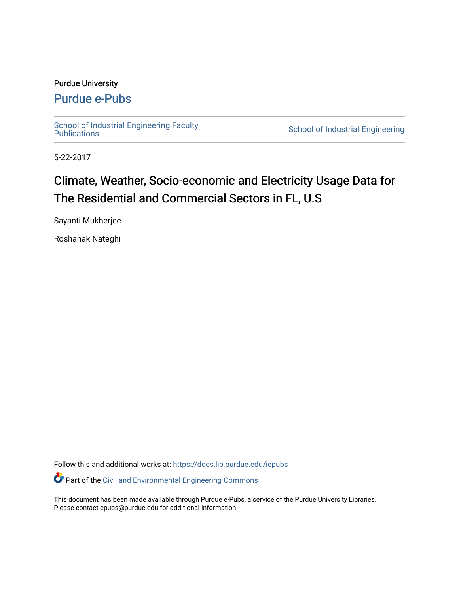### Purdue University

## [Purdue e-Pubs](https://docs.lib.purdue.edu/)

School of Industrial Engineering Faculty<br>Publications

School of Industrial Engineering

5-22-2017

# Climate, Weather, Socio-economic and Electricity Usage Data for The Residential and Commercial Sectors in FL, U.S

Sayanti Mukherjee

Roshanak Nateghi

Follow this and additional works at: [https://docs.lib.purdue.edu/iepubs](https://docs.lib.purdue.edu/iepubs?utm_source=docs.lib.purdue.edu%2Fiepubs%2F9&utm_medium=PDF&utm_campaign=PDFCoverPages)

Part of the [Civil and Environmental Engineering Commons](http://network.bepress.com/hgg/discipline/251?utm_source=docs.lib.purdue.edu%2Fiepubs%2F9&utm_medium=PDF&utm_campaign=PDFCoverPages)

This document has been made available through Purdue e-Pubs, a service of the Purdue University Libraries. Please contact epubs@purdue.edu for additional information.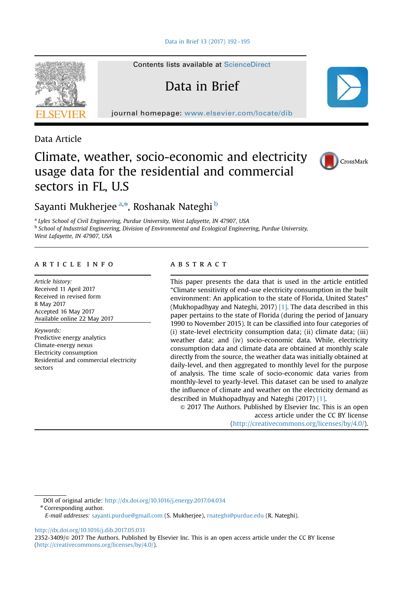

Contents lists available at [ScienceDirect](www.sciencedirect.com/science/journal/23523409)

Data in Brief

journal homepage: <www.elsevier.com/locate/dib>

Data Article

## Climate, weather, socio-economic and electricity usage data for the residential and commercial sectors in FL, U.S



Sayanti Mukherjee <sup>a,</sup>\*, Roshanak Nateghi <sup>b</sup>

<sup>a</sup> Lyles School of Civil Engineering, Purdue University, West Lafayette, IN 47907, USA b School of Industrial Engineering, Division of Environmental and Ecological Engineering, Purdue University, West Lafayette, IN 47907, USA

#### article info

Article history: Received 11 April 2017 Received in revised form 8 May 2017 Accepted 16 May 2017 Available online 22 May 2017

Keywords: Predictive energy analytics Climate-energy nexus Electricity consumption Residential and commercial electricity sectors

#### **ABSTRACT**

This paper presents the data that is used in the article entitled "Climate sensitivity of end-use electricity consumption in the built environment: An application to the state of Florida, United States" (Mukhopadhyay and Nateghi, 2017) [\[1\]](#page-4-0). The data described in this paper pertains to the state of Florida (during the period of January 1990 to November 2015). It can be classified into four categories of (i) state-level electricity consumption data; (ii) climate data; (iii) weather data; and (iv) socio-economic data. While, electricity consumption data and climate data are obtained at monthly scale directly from the source, the weather data was initially obtained at daily-level, and then aggregated to monthly level for the purpose of analysis. The time scale of socio-economic data varies from monthly-level to yearly-level. This dataset can be used to analyze the influence of climate and weather on the electricity demand as described in Mukhopadhyay and Nateghi (2017) [\[1\]](#page-4-0).

 $\odot$  2017 The Authors. Published by Elsevier Inc. This is an open access article under the CC BY license [\(http://creativecommons.org/licenses/by/4.0](http://creativecommons.org/licenses/by/4.0)/).

DOI of original article: http://dx.doi.org/10.1016/j.energy.2017.04.034

\* Corresponding author.

E-mail addresses: [sayanti.purdue@gmail.com](mailto:sayanti.purdue@gmail.com) (S. Mukherjee), [rnateghi@purdue.edu](mailto:rnateghi@purdue.edu) (R. Nateghi).

<http://dx.doi.org/10.1016/j.dib.2017.05.031>

2352-3409/& 2017 The Authors. Published by Elsevier Inc. This is an open access article under the CC BY license [\(http://creativecommons.org/licenses/by/4.0/](http://creativecommons.org/licenses/by/4.0)).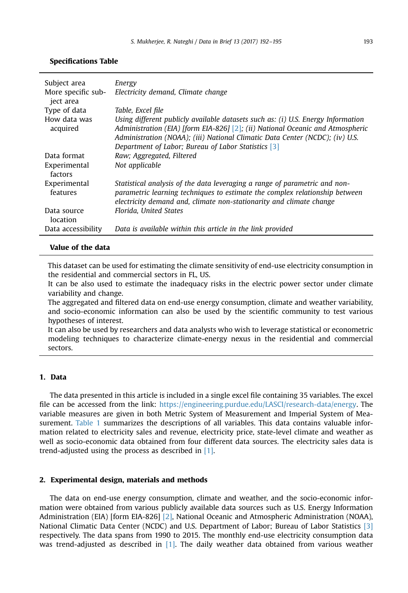| Subject area<br>More specific sub-<br>ject area | Energy<br>Electricity demand, Climate change                                                                                                                                                                                                                                                              |
|-------------------------------------------------|-----------------------------------------------------------------------------------------------------------------------------------------------------------------------------------------------------------------------------------------------------------------------------------------------------------|
| Type of data                                    | Table, Excel file                                                                                                                                                                                                                                                                                         |
| How data was<br>acquired                        | Using different publicly available datasets such as: (i) U.S. Energy Information<br>Administration (EIA) [form EIA-826] [2]; (ii) National Oceanic and Atmospheric<br>Administration (NOAA); (iii) National Climatic Data Center (NCDC); (iv) U.S.<br>Department of Labor; Bureau of Labor Statistics [3] |
| Data format                                     | Raw: Aggregated, Filtered                                                                                                                                                                                                                                                                                 |
| Experimental<br>factors                         | Not applicable                                                                                                                                                                                                                                                                                            |
| Experimental<br>features                        | Statistical analysis of the data leveraging a range of parametric and non-<br>parametric learning techniques to estimate the complex relationship between<br>electricity demand and, climate non-stationarity and climate change                                                                          |
| Data source<br>location                         | Florida. United States                                                                                                                                                                                                                                                                                    |
| Data accessibility                              | Data is available within this article in the link provided                                                                                                                                                                                                                                                |

#### Specifications Table

#### Value of the data

This dataset can be used for estimating the climate sensitivity of end-use electricity consumption in the residential and commercial sectors in FL, US.

It can be also used to estimate the inadequacy risks in the electric power sector under climate variability and change.

The aggregated and filtered data on end-use energy consumption, climate and weather variability, and socio-economic information can also be used by the scientific community to test various hypotheses of interest.

It can also be used by researchers and data analysts who wish to leverage statistical or econometric modeling techniques to characterize climate-energy nexus in the residential and commercial sectors.

#### 1. Data

The data presented in this article is included in a single excel file containing 35 variables. The excel file can be accessed from the link: [https://engineering.purdue.edu/LASCI/research-data/energy.](https://engineering.purdue.edu/LASCI/research-data/energy) The variable measures are given in both Metric System of Measurement and Imperial System of Measurement. [Table](#page-3-0) 1 summarizes the descriptions of all variables. This data contains valuable information related to electricity sales and revenue, electricity price, state-level climate and weather as well as socio-economic data obtained from four different data sources. The electricity sales data is trend-adjusted using the process as described in [\[1\].](#page-4-0)

#### 2. Experimental design, materials and methods

The data on end-use energy consumption, climate and weather, and the socio-economic information were obtained from various publicly available data sources such as U.S. Energy Information Administration (EIA) [form EIA-826] [\[2\]](#page-4-0), National Oceanic and Atmospheric Administration (NOAA), National Climatic Data Center (NCDC) and U.S. Department of Labor; Bureau of Labor Statistics [\[3\]](#page-4-0) respectively. The data spans from 1990 to 2015. The monthly end-use electricity consumption data was trend-adjusted as described in [\[1\].](#page-4-0) The daily weather data obtained from various weather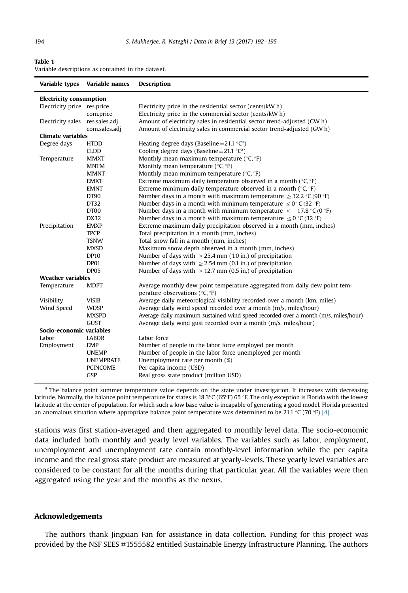<span id="page-3-0"></span>

| I<br>I |  |
|--------|--|
|        |  |

| Table 1                                            |  |  |  |
|----------------------------------------------------|--|--|--|
| Variable descriptions as contained in the dataset. |  |  |  |

| Variable types                  | Variable names   | <b>Description</b>                                                                                           |
|---------------------------------|------------------|--------------------------------------------------------------------------------------------------------------|
| <b>Electricity consumption</b>  |                  |                                                                                                              |
| Electricity price res.price     |                  | Electricity price in the residential sector (cents/kW h)                                                     |
|                                 | com.price        | Electricity price in the commercial sector (cents/kW h)                                                      |
| Electricity sales res.sales.adj |                  | Amount of electricity sales in residential sector trend-adjusted (GW h)                                      |
|                                 | com.sales.adj    | Amount of electricity sales in commercial sector trend-adjusted (GW h)                                       |
| <b>Climate variables</b>        |                  |                                                                                                              |
| Degree days                     | <b>HTDD</b>      | Heating degree days (Baseline = 21.1 $^{\circ}$ C <sup>a</sup> )                                             |
|                                 | CLDD             | Cooling degree days (Baseline = 21.1 $^{\circ}$ C <sup>a</sup> )                                             |
| Temperature                     | <b>MMXT</b>      | Monthly mean maximum temperature ( $°C$ , $\overline{c}$ F)                                                  |
|                                 | <b>MNTM</b>      | Monthly mean temperature ( $°C, \degree F$ )                                                                 |
|                                 | <b>MMNT</b>      | Monthly mean minimum temperature ( ${}^{\circ}C, {}^{\circ}F$ )                                              |
|                                 | <b>EMXT</b>      | Extreme maximum daily temperature observed in a month ( ${}^{\circ}C, {}^{\circ}F$ )                         |
|                                 | <b>EMNT</b>      | Extreme minimum daily temperature observed in a month ( ${}^{\circ}C, {}^{\circ}F$ )                         |
|                                 | DT90             | Number days in a month with maximum temperature $\geq$ 32.2 °C (90 °F)                                       |
|                                 | DT32             | Number days in a month with minimum temperature $\leq 0$ °C (32 °F)                                          |
|                                 | DT00             | Number days in a month with minimum temperature $\leq 17.8$ °C(0 °F)                                         |
|                                 | DX32             | Number days in a month with maximum temperature $\leq 0$ °C (32 °F)                                          |
| Precipitation                   | <b>EMXP</b>      | Extreme maximum daily precipitation observed in a month (mm, inches)                                         |
|                                 | <b>TPCP</b>      | Total precipitation in a month (mm, inches)                                                                  |
|                                 | TSNW             | Total snow fall in a month (mm, inches)                                                                      |
|                                 | <b>MXSD</b>      | Maximum snow depth observed in a month (mm, inches)                                                          |
|                                 | <b>DP10</b>      | Number of days with $\geq$ 25.4 mm (1.0 in.) of precipitation                                                |
|                                 | DP01             | Number of days with $\geq$ 2.54 mm (0.1 in.) of precipitation                                                |
|                                 | DP05             | Number of days with $\geq$ 12.7 mm (0.5 in.) of precipitation                                                |
| <b>Weather variables</b>        |                  |                                                                                                              |
| Temperature                     | <b>MDPT</b>      | Average monthly dew point temperature aggregated from daily dew point tem-<br>perature observations (°C, °F) |
| Visibility                      | <b>VISIB</b>     | Average daily meteorological visibility recorded over a month (km, miles)                                    |
| Wind Speed                      | <b>WDSP</b>      | Average daily wind speed recorded over a month (m/s, miles/hour)                                             |
|                                 | <b>MXSPD</b>     | Average daily maximum sustained wind speed recorded over a month (m/s, miles/hour)                           |
|                                 | <b>GUST</b>      | Average daily wind gust recorded over a month (m/s, miles/hour)                                              |
| Socio-economic variables        |                  |                                                                                                              |
| Labor                           | <b>LABOR</b>     | Labor force                                                                                                  |
| Employment                      | <b>EMP</b>       | Number of people in the labor force employed per month                                                       |
|                                 | <b>UNEMP</b>     | Number of people in the labor force unemployed per month                                                     |
|                                 | <b>UNEMPRATE</b> | Unemployment rate per month (%)                                                                              |
|                                 | <b>PCINCOME</b>  | Per capita income (USD)                                                                                      |
|                                 | <b>GSP</b>       | Real gross state product (million USD)                                                                       |
|                                 |                  |                                                                                                              |

<sup>a</sup> The balance point summer temperature value depends on the state under investigation. It increases with decreasing latitude. Normally, the balance point temperature for states is 18.3°C (65°F) 65 °F. The only exception is Florida with the lowest latitude at the center of population, for which such a low base value is incapable of generating a good model. Florida presented an anomalous situation where appropriate balance point temperature was determined to be 21.1 °C (70 °F) [\[4\].](#page-4-0)

stations was first station-averaged and then aggregated to monthly level data. The socio-economic data included both monthly and yearly level variables. The variables such as labor, employment, unemployment and unemployment rate contain monthly-level information while the per capita income and the real gross state product are measured at yearly-levels. These yearly level variables are considered to be constant for all the months during that particular year. All the variables were then aggregated using the year and the months as the nexus.

#### Acknowledgements

The authors thank Jingxian Fan for assistance in data collection. Funding for this project was provided by the NSF SEES #1555582 entitled Sustainable Energy Infrastructure Planning. The authors